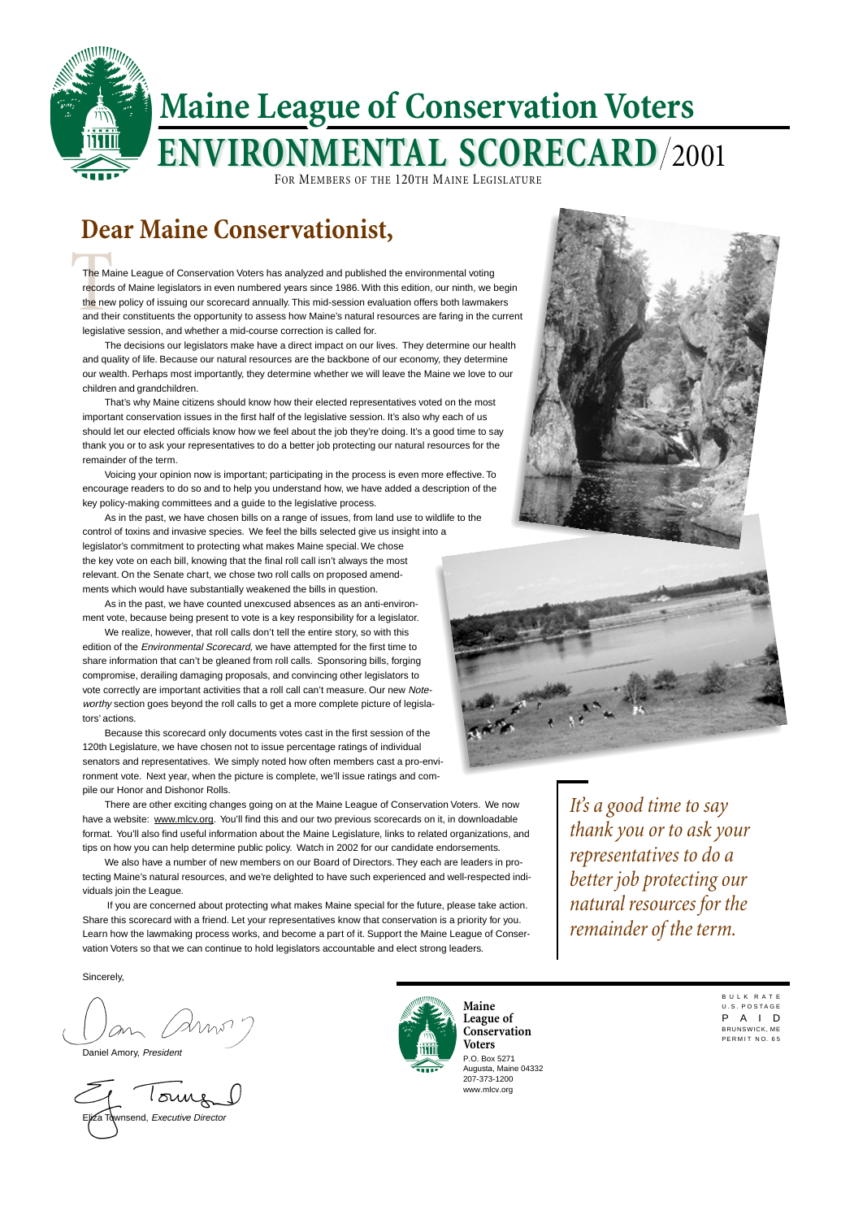B U L K R A T E U.S. POSTAGE P A I D BRUNSWICK, ME PERMIT NO 65



## **Dear Maine Conservationist,**

P.O. Box 5271 Augusta, Maine 04332 207-373-1200 www.mlcv.org **Maine League of Conservation Voters**

*It's a good time to say thank you or to ask your representatives to do a better job protecting our natural resources for the*

The Ma<br>records<br>the new<br>and the The Maine League of Conservation Voters has analyzed and published the environmental voting records of Maine legislators in even numbered years since 1986. With this edition, our ninth, we begin the new policy of issuing our scorecard annually. This mid-session evaluation offers both lawmakers and their constituents the opportunity to assess how Maine's natural resources are faring in the current legislative session, and whether a mid-course correction is called for.

## *remainder of the term.*

The decisions our legislators make have a direct impact on our lives. They determine our health and quality of life. Because our natural resources are the backbone of our economy, they determine our wealth. Perhaps most importantly, they determine whether we will leave the Maine we love to our children and grandchildren.

That's why Maine citizens should know how their elected representatives voted on the most important conservation issues in the first half of the legislative session. It's also why each of us should let our elected officials know how we feel about the job they're doing. It's a good time to say thank you or to ask your representatives to do a better job protecting our natural resources for the remainder of the term.

Voicing your opinion now is important; participating in the process is even more effective. To encourage readers to do so and to help you understand how, we have added a description of the key policy-making committees and a guide to the legislative process.

As in the past, we have chosen bills on a range of issues, from land use to wildlife to the control of toxins and invasive species. We feel the bills selected give us insight into a legislator's commitment to protecting what makes Maine special. We chose the key vote on each bill, knowing that the final roll call isn't always the most relevant. On the Senate chart, we chose two roll calls on proposed amendments which would have substantially weakened the bills in question.

As in the past, we have counted unexcused absences as an anti-environment vote, because being present to vote is a key responsibility for a legislator.

We realize, however, that roll calls don't tell the entire story, so with this edition of the Environmental Scorecard, we have attempted for the first time to share information that can't be gleaned from roll calls. Sponsoring bills, forging compromise, derailing damaging proposals, and convincing other legislators to vote correctly are important activities that a roll call can't measure. Our new Noteworthy section goes beyond the roll calls to get a more complete picture of legislators' actions.

Because this scorecard only documents votes cast in the first session of the 120th Legislature, we have chosen not to issue percentage ratings of individual senators and representatives. We simply noted how often members cast a pro-environment vote. Next year, when the picture is complete, we'll issue ratings and compile our Honor and Dishonor Rolls.

There are other exciting changes going on at the Maine League of Conservation Voters. We now have a website: www.mlcv.org. You'll find this and our two previous scorecards on it, in downloadable format. You'll also find useful information about the Maine Legislature, links to related organizations, and tips on how you can help determine public policy. Watch in 2002 for our candidate endorsements.

We also have a number of new members on our Board of Directors. They each are leaders in protecting Maine's natural resources, and we're delighted to have such experienced and well-respected individuals join the League.

 If you are concerned about protecting what makes Maine special for the future, please take action. Share this scorecard with a friend. Let your representatives know that conservation is a priority for you. Learn how the lawmaking process works, and become a part of it. Support the Maine League of Conservation Voters so that we can continue to hold legislators accountable and elect strong leaders.





#### Sincerely,

Daniel Amory, President

i∕za Townsend, *Executive Director* 

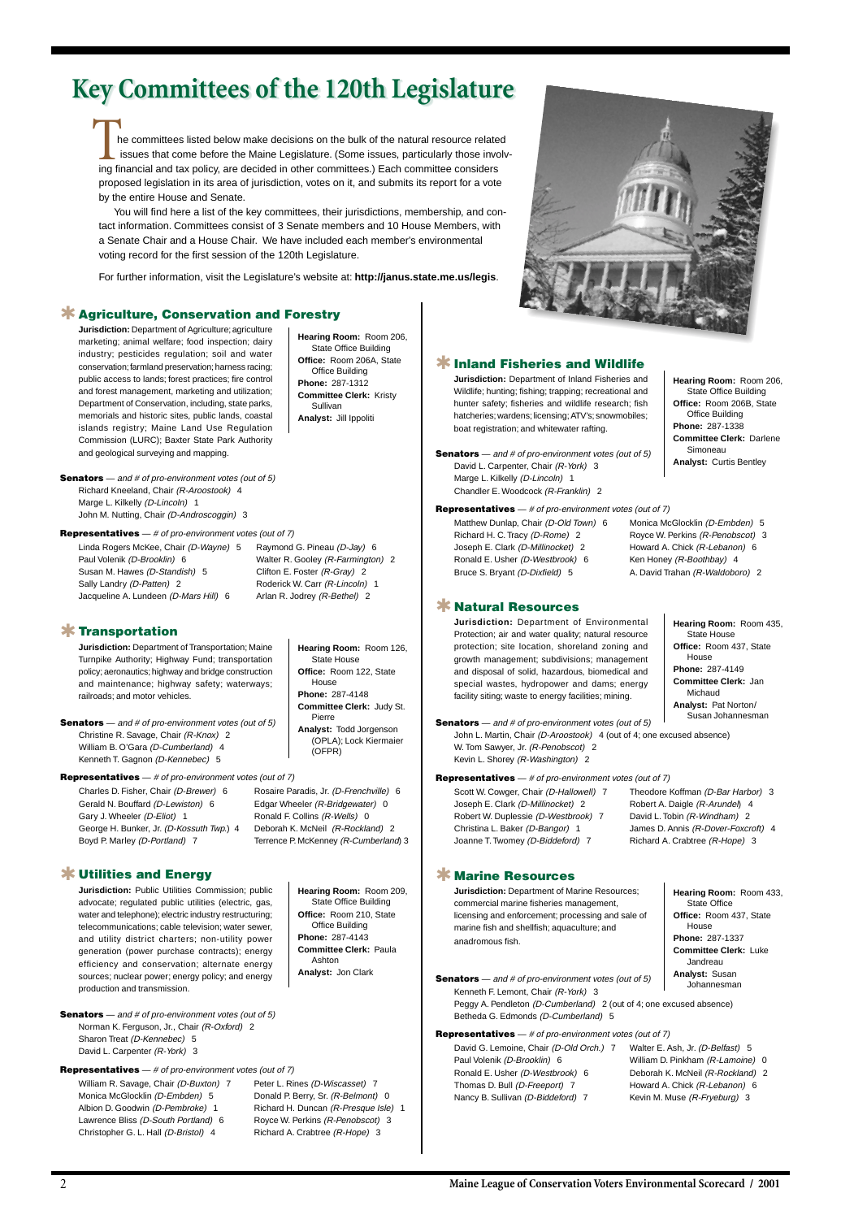2 **Maine League of Conservation Voters Environmental Scorecard / 2001**

# **Key Committees of the 120th Legislature**

he committees listed below make decisions on the bulk of the natural resource related issues that come before the Maine Legislature. (Some issues, particularly those involv-Internative committees listed below make decisions on the bulk of the natural resource relate<br>
issues that come before the Maine Legislature. (Some issues, particularly those invo<br>
ing financial and tax policy, are decided proposed legislation in its area of jurisdiction, votes on it, and submits its report for a vote by the entire House and Senate.

You will find here a list of the key committees, their jurisdictions, membership, and contact information. Committees consist of 3 Senate members and 10 House Members, with a Senate Chair and a House Chair. We have included each member's environmental voting record for the first session of the 120th Legislature.

> **Senators** — and # of pro-environment votes (out of 5) Kenneth F. Lemont, Chair (R-York) 3 Peggy A. Pendleton (D-Cumberland) 2 (out of 4; one excused absence) Betheda G. Edmonds (D-Cumberland) 5 **Analyst:** Susan Johannesman

**Senators** — and # of pro-environment votes (out of 5) David L. Carpenter, Chair (R-York) 3 Marge L. Kilkelly (D-Lincoln) 1 Chandler E. Woodcock (R-Franklin) 2

For further information, visit the Legislature's website at: **http://janus.state.me.us/legis**.

**Representatives** — # of pro-environment votes (out of 7)

Paul Volenik (D-Brooklin) 6 William D. Pinkham (R-Lamoine) 0 Ronald E. Usher (D-Westbrook) 6 Deborah K. McNeil (R-Rockland) 2 Thomas D. Bull (D-Freeport) 7 Howard A. Chick (R-Lebanon) 6 Nancy B. Sullivan (D-Biddeford) 7 Kevin M. Muse (R-Fryeburg) 3

David G. Lemoine, Chair (D-Old Orch.) 7 Walter E. Ash, Jr. (D-Belfast) 5

## ✱ **Marine Resources**

**Jurisdiction:** Department of Marine Resources; commercial marine fisheries management, licensing and enforcement; processing and sale of

marine fish and shellfish; aquaculture; and anadromous fish.

**Hearing Room:** Room 433, State Office **Office:** Room 437, State

**Senators** — and # of pro-environment votes (out of 5)

Norman K. Ferguson, Jr., Chair (R-Oxford) 2 Sharon Treat (D-Kennebec) 5 David L. Carpenter (R-York) 3

House **Phone:** 287-1337 **Committee Clerk:** Luke Jandreau

### **Representatives** — # of pro-environment votes (out of 7)

Matthew Dunlap, Chair (D-Old Town) 6 Monica McGlocklin (D-Embden) 5 Richard H. C. Tracy (D-Rome) 2 Royce W. Perkins (R-Penobscot) 3 Joseph E. Clark (D-Millinocket) 2 Howard A. Chick (R-Lebanon) 6 Ronald E. Usher (D-Westbrook) 6 Ken Honey (R-Boothbay) 4 Bruce S. Bryant (D-Dixfield) 5 A. David Trahan (R-Waldoboro) 2

## ✱ **Inland Fisheries and Wildlife**

**Jurisdiction:** Department of Inland Fisheries and Wildlife; hunting; fishing; trapping; recreational and hunter safety; fisheries and wildlife research; fish hatcheries; wardens; licensing; ATV's; snowmobiles; boat registration; and whitewater rafting.

**Hearing Room:** Room 206, State Office Building **Office:** Room 206B, State Office Building **Phone:** 287-1338 **Committee Clerk:** Darlene Simoneau **Analyst:** Curtis Bentley

#### **Representatives** — # of pro-environment votes (out of 7)

Scott W. Cowger, Chair (D-Hallowell) 7 Theodore Koffman (D-Bar Harbor) 3 Joseph E. Clark (D-Millinocket) 2 Robert A. Daigle (R-Arundel) 4 Robert W. Duplessie (D-Westbrook) 7 David L. Tobin (R-Windham) 2 Christina L. Baker (D-Bangor) 1 James D. Annis (R-Dover-Foxcroft) 4 Joanne T. Twomey (D-Biddeford) 7 Richard A. Crabtree (R-Hope) 3

Charles D. Fisher, Chair (D-Brewer) 6 Rosaire Paradis, Jr. (D-Frenchville) 6 Gerald N. Bouffard (D-Lewiston) 6 Edgar Wheeler (R-Bridgewater) 0 Gary J. Wheeler (D-Eliot) 1 Ronald F. Collins (R-Wells) 0 George H. Bunker, Jr. (D-Kossuth Twp.) 4 Deborah K. McNeil (R-Rockland) 2 Boyd P. Marley (D-Portland) 7 Terrence P. McKenney (R-Cumberland) 3

## ✱ **Natural Resources**

**Jurisdiction:** Department of Environmental Protection; air and water quality; natural resource protection; site location, shoreland zoning and growth management; subdivisions; management and disposal of solid, hazardous, biomedical and special wastes, hydropower and dams; energy facility siting; waste to energy facilities; mining.

**Senators** — and # of pro-environment votes (out of 5)

John L. Martin, Chair (D-Aroostook) 4 (out of 4; one excused absence) W. Tom Sawyer, Jr. (R-Penobscot) 2 Kevin L. Shorey (R-Washington) 2

**Hearing Room:** Room 435, State House **Office:** Room 437, State House **Phone:** 287-4149 **Committee Clerk:** Jan Michaud **Analyst:** Pat Norton/ Susan Johannesman

#### **Representatives** — # of pro-environment votes (out of 7)

William R. Savage, Chair (D-Buxton) 7 Peter L. Rines (D-Wiscasset) 7 Monica McGlocklin (D-Embden) 5 Donald P. Berry, Sr. (R-Belmont) 0 Albion D. Goodwin (D-Pembroke) 1 Richard H. Duncan (R-Presque Isle) 1 Lawrence Bliss (D-South Portland) 6 Royce W. Perkins (R-Penobscot) 3 Christopher G. L. Hall (D-Bristol) 4 Richard A. Crabtree (R-Hope) 3

✱ **Utilities and Energy**

**Jurisdiction:** Public Utilities Commission; public advocate; regulated public utilities (electric, gas, water and telephone); electric industry restructuring; telecommunications; cable television; water sewer, and utility district charters; non-utility power generation (power purchase contracts); energy efficiency and conservation; alternate energy sources; nuclear power; energy policy; and energy production and transmission.

**Hearing Room:** Room 209, State Office Building **Office:** Room 210, State Office Building **Phone:** 287-4143 **Committee Clerk:** Paula Ashton **Analyst:** Jon Clark





### **Representatives** — # of pro-environment votes (out of 7)

Linda Rogers McKee, Chair (D-Wayne) 5 Raymond G. Pineau (D-Jay) 6 Paul Volenik (D-Brooklin) 6 Walter R. Gooley (R-Farmington) 2 Susan M. Hawes (D-Standish) 5 Clifton E. Foster (R-Gray) 2 Sally Landry (D-Patten) 2 Roderick W. Carr (R-Lincoln) 1 Jacqueline A. Lundeen (D-Mars Hill) 6 Arlan R. Jodrey (R-Bethel) 2

**Jurisdiction:** Department of Agriculture; agriculture marketing; animal welfare; food inspection; dairy industry; pesticides regulation; soil and water conservation; farmland preservation; harness racing; public access to lands; forest practices; fire control and forest management, marketing and utilization; Department of Conservation, including, state parks, memorials and historic sites, public lands, coastal islands registry; Maine Land Use Regulation Commission (LURC); Baxter State Park Authority and geological surveying and mapping.

**Hearing Room:** Room 206, State Office Building **Office:** Room 206A, State Office Building **Phone:** 287-1312 **Committee Clerk:** Kristy Sullivan **Analyst:** Jill Ippoliti

## ✱ **Agriculture, Conservation and Forestry**

### **Representatives** — # of pro-environment votes (out of 7)

## ✱ **Transportation**

**Jurisdiction:** Department of Transportation; Maine Turnpike Authority; Highway Fund; transportation policy; aeronautics; highway and bridge construction and maintenance; highway safety; waterways; railroads; and motor vehicles.

**Senators** — and # of pro-environment votes (out of 5) Christine R. Savage, Chair (R-Knox) 2 William B. O'Gara (D-Cumberland) 4 Kenneth T. Gagnon (D-Kennebec) 5

**Hearing Room:** Room 126, State House **Office:** Room 122, State House **Phone:** 287-4148 **Committee Clerk:** Judy St. Pierre **Analyst:** Todd Jorgenson (OPLA); Lock Kiermaier (OFPR)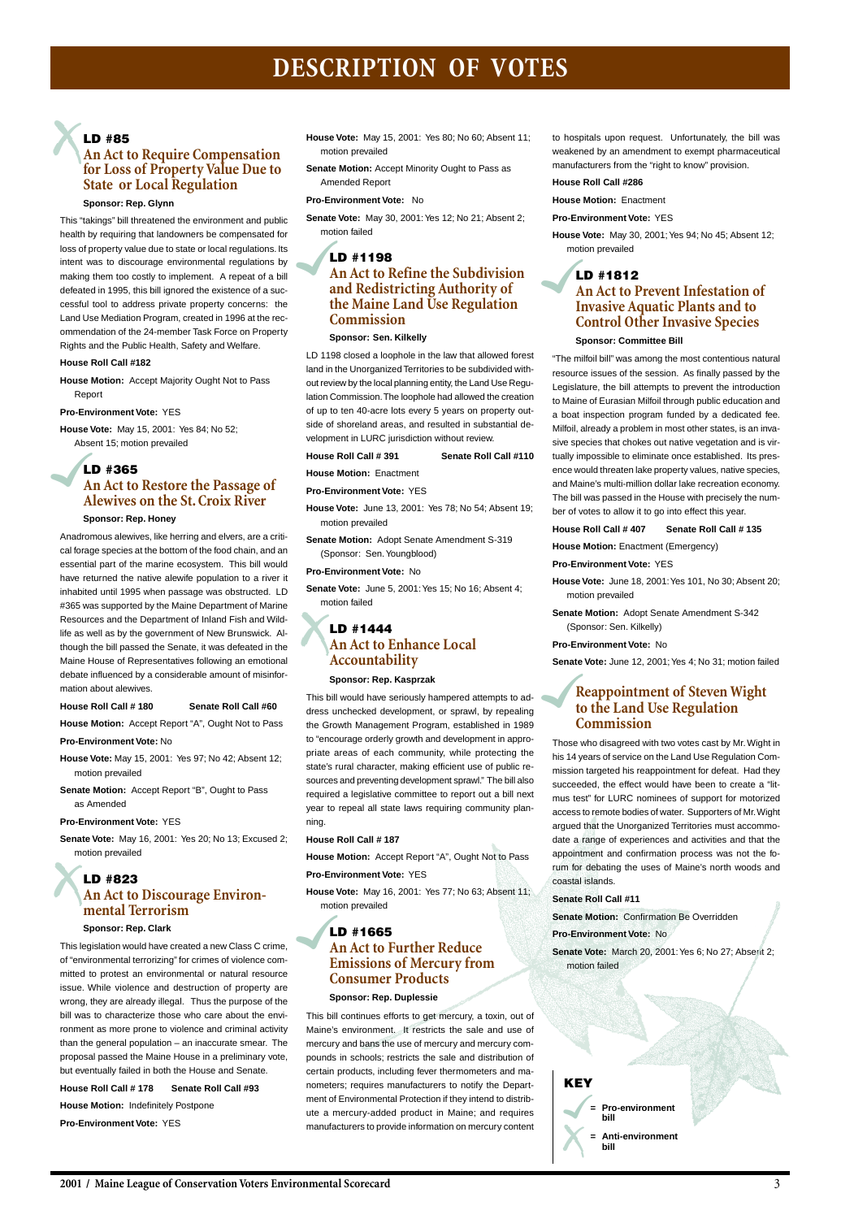## **DESCRIPTION OF VOTES**

### **LD #85**

## **An Act to Require Compensation for Loss of Property Value Due to State or Local Regulation**

#### **Sponsor: Rep. Glynn**

This "takings" bill threatened the environment and public health by requiring that landowners be compensated for loss of property value due to state or local regulations. Its intent was to discourage environmental regulations by making them too costly to implement. A repeat of a bill defeated in 1995, this bill ignored the existence of a successful tool to address private property concerns: the Land Use Mediation Program, created in 1996 at the recommendation of the 24-member Task Force on Property Rights and the Public Health, Safety and Welfare.

#### **House Roll Call #182**

**House Motion:** Accept Majority Ought Not to Pass Report

**Pro-Environment Vote:** YES

**House Vote:** May 15, 2001: Yes 84; No 52; Absent 15; motion prevailed

## **LD #365 An Act to Restore the Passage of Alewives on the St. Croix River**

#### **Sponsor: Rep. Honey**

Anadromous alewives, like herring and elvers, are a critical forage species at the bottom of the food chain, and an essential part of the marine ecosystem. This bill would have returned the native alewife population to a river it inhabited until 1995 when passage was obstructed. LD #365 was supported by the Maine Department of Marine Resources and the Department of Inland Fish and Wildlife as well as by the government of New Brunswick. Although the bill passed the Senate, it was defeated in the Maine House of Representatives following an emotional debate influenced by a considerable amount of misinformation about alewives.

#### **House Roll Call # 180 Senate Roll Call #60**

**House Motion:** Accept Report "A", Ought Not to Pass

#### **Pro-Environment Vote:** No

- **House Vote:** May 15, 2001: Yes 97; No 42; Absent 12; motion prevailed
- **Senate Motion:** Accept Report "B", Ought to Pass as Amended

#### **Pro-Environment Vote:** YES

**Senate Vote:** May 16, 2001: Yes 20; No 13; Excused 2; motion prevailed

## **LD #823 An Act to Discourage Environmental Terrorism**

#### **Sponsor: Rep. Clark**

This legislation would have created a new Class C crime, of "environmental terrorizing" for crimes of violence committed to protest an environmental or natural resource issue. While violence and destruction of property are wrong, they are already illegal. Thus the purpose of the bill was to characterize those who care about the environment as more prone to violence and criminal activity than the general population – an inaccurate smear. The proposal passed the Maine House in a preliminary vote, but eventually failed in both the House and Senate. **House Roll Call # 178 Senate Roll Call #93 House Motion:** Indefinitely Postpone **Pro-Environment Vote:** YES

**House Vote:** May 15, 2001: Yes 80; No 60; Absent 11; motion prevailed

**Senate Motion:** Accept Minority Ought to Pass as Amended Report

#### **Pro-Environment Vote:** No

**Senate Vote:** May 30, 2001: Yes 12; No 21; Absent 2; motion failed

## **LD #1198 An Act to Refine the Subdivision and Redistricting Authority of the Maine Land Use Regulation Commission**

#### **Sponsor: Sen. Kilkelly**

LD 1198 closed a loophole in the law that allowed forest land in the Unorganized Territories to be subdivided without review by the local planning entity, the Land Use Regulation Commission. The loophole had allowed the creation of up to ten 40-acre lots every 5 years on property outside of shoreland areas, and resulted in substantial development in LURC jurisdiction without review.

#### **House Roll Call # 391 Senate Roll Call #110**

**House Motion:** Enactment

**Pro-Environment Vote:** YES

**House Vote:** June 13, 2001: Yes 78; No 54; Absent 19; motion prevailed

**Senate Motion:** Adopt Senate Amendment S-319 (Sponsor: Sen. Youngblood)

> **Senate Vote:** March 20, 2001: Yes 6; No 27; Absent 2; motion failed

#### **Pro-Environment Vote:** No

**Senate Vote:** June 5, 2001: Yes 15; No 16; Absent 4; motion failed

## **LD #1444 An Act to Enhance Local Accountability**

#### **Sponsor: Rep. Kasprzak**

This bill would have seriously hampered attempts to address unchecked development, or sprawl, by repealing the Growth Management Program, established in 1989 to "encourage orderly growth and development in appropriate areas of each community, while protecting the state's rural character, making efficient use of public resources and preventing development sprawl." The bill also required a legislative committee to report out a bill next year to repeal all state laws requiring community planning.

#### **House Roll Call # 187**

**House Motion:** Accept Report "A", Ought Not to Pass **Pro-Environment Vote:** YES

**House Vote:** May 16, 2001: Yes 77; No 63; Absent 11; motion prevailed

## **LD #1665 An Act to Further Reduce Emissions of Mercury from Consumer Products**

#### **Sponsor: Rep. Duplessie**

This bill continues efforts to get mercury, a toxin, out of Maine's environment. It restricts the sale and use of mercury and bans the use of mercury and mercury compounds in schools; restricts the sale and distribution of certain products, including fever thermometers and manometers; requires manufacturers to notify the Department of Environmental Protection if they intend to distribute a mercury-added product in Maine; and requires manufacturers to provide information on mercury content to hospitals upon request. Unfortunately, the bill was weakened by an amendment to exempt pharmaceutical manufacturers from the "right to know" provision.

#### **House Roll Call #286**

**House Motion:** Enactment

**Pro-Environment Vote:** YES

**House Vote:** May 30, 2001; Yes 94; No 45; Absent 12; motion prevailed

## **LD #1812 An Act to Prevent Infestation of Invasive Aquatic Plants and to Control Other Invasive Species**

#### **Sponsor: Committee Bill**

"The milfoil bill" was among the most contentious natural resource issues of the session. As finally passed by the Legislature, the bill attempts to prevent the introduction to Maine of Eurasian Milfoil through public education and a boat inspection program funded by a dedicated fee. Milfoil, already a problem in most other states, is an invasive species that chokes out native vegetation and is virtually impossible to eliminate once established. Its presence would threaten lake property values, native species, and Maine's multi-million dollar lake recreation economy. The bill was passed in the House with precisely the number of votes to allow it to go into effect this year.

#### **House Roll Call # 407 Senate Roll Call # 135**

**House Motion:** Enactment (Emergency)

#### **Pro-Environment Vote:** YES

**House Vote:** June 18, 2001: Yes 101, No 30; Absent 20; motion prevailed

**Senate Motion:** Adopt Senate Amendment S-342 (Sponsor: Sen. Kilkelly)

#### **Pro-Environment Vote:** No

**Senate Vote:** June 12, 2001; Yes 4; No 31; motion failed

## **Reappointment of Steven Wight to the Land Use Regulation Commission**

Those who disagreed with two votes cast by Mr. Wight in his 14 years of service on the Land Use Regulation Commission targeted his reappointment for defeat. Had they succeeded, the effect would have been to create a "litmus test" for LURC nominees of support for motorized access to remote bodies of water. Supporters of Mr. Wight argued that the Unorganized Territories must accommodate a range of experiences and activities and that the appointment and confirmation process was not the forum for debating the uses of Maine's north woods and coastal islands.

#### **Senate Roll Call #11**

**Senate Motion:** Confirmation Be Overridden

**Pro-Environment Vote:** No

### **KEY**

**= Pro-environment bill**

**= Anti-environment bill**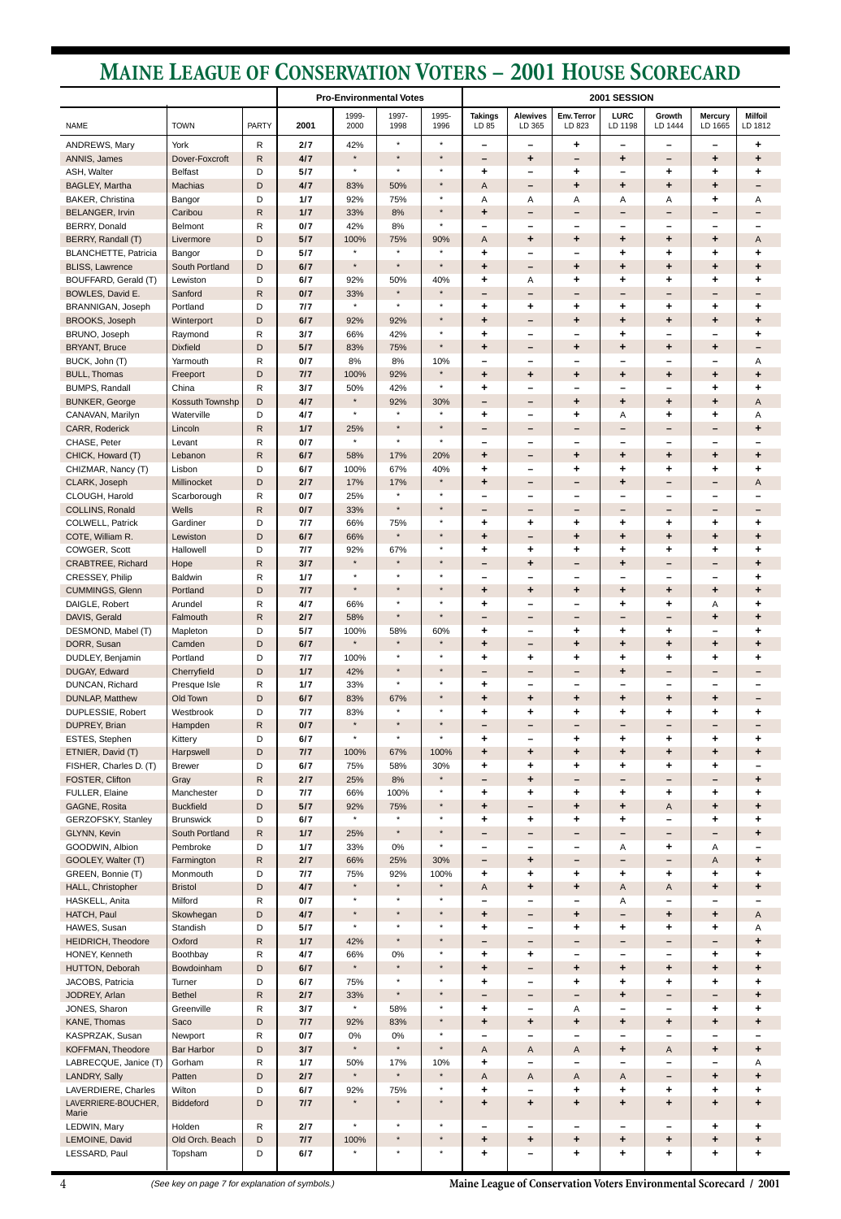**Maine League of Conservation Voters Environmental Scorecard / 2001**

## **MAINE LEAGUE OF CONSERVATION VOTERS – 2001 HOUSE SCORECARD**

|                                              |                            |                   |            | <b>Pro-Environmental Votes</b> |                    | 2001 SESSION       |                           |                                             |                          |                                       |                               |                                         |                               |
|----------------------------------------------|----------------------------|-------------------|------------|--------------------------------|--------------------|--------------------|---------------------------|---------------------------------------------|--------------------------|---------------------------------------|-------------------------------|-----------------------------------------|-------------------------------|
| <b>NAME</b>                                  | <b>TOWN</b>                | <b>PARTY</b>      | 2001       | 1999-<br>2000                  | 1997-<br>1998      | 1995-<br>1996      | <b>Takings</b><br>LD 85   | <b>Alewives</b><br>LD 365                   | Env. Terror<br>LD 823    | <b>LURC</b><br>LD 1198                | Growth<br>LD 1444             | <b>Mercury</b><br>LD 1665               | <b>Milfoil</b><br>LD 1812     |
| ANDREWS, Mary                                | York                       | R                 | 2/7        | 42%                            | $\star$            | $\star$            | $\overline{\phantom{m}}$  | $\overline{\phantom{m}}$                    | ٠                        | $\overline{\phantom{m}}$              | $\overline{\phantom{m}}$      | $\overline{\phantom{0}}$                | ٠                             |
| ANNIS, James                                 | Dover-Foxcroft             | $\mathsf{R}$      | 4/7        | $\star$                        | $\star$            | $\star$            |                           | ٠                                           | $\qquad \qquad -$        | ٠                                     | $\qquad \qquad$               | ٠                                       | ٠                             |
| ASH, Walter                                  | <b>Belfast</b>             | D                 | 5/7        | $\star$                        | $\star$            | $\star$<br>$\star$ | ٠                         | $\qquad \qquad$                             | ٠                        | -                                     | ٠                             | ٠                                       | ٠                             |
| BAGLEY, Martha<br>BAKER, Christina           | <b>Machias</b>             | D<br>D            | 4/7<br>1/7 | 83%<br>92%                     | 50%<br>75%         | $\star$            | Α<br>Α                    | -<br>Α                                      | $\ddot{}$<br>Α           | $\ddot{}$<br>Α                        | $\ddot{}$<br>Α                | $\ddot{}$<br>٠                          | $\overline{\phantom{m}}$<br>Α |
| <b>BELANGER, Irvin</b>                       | Bangor<br>Caribou          | $\mathsf R$       | 1/7        | 33%                            | 8%                 | $\star$            | ٠                         | $\qquad \qquad$                             | $\qquad \qquad -$        | $\overline{\phantom{m}}$              | $\overline{\phantom{m}}$      | $\qquad \qquad$                         |                               |
| <b>BERRY, Donald</b>                         | Belmont                    | R                 | 0/7        | 42%                            | 8%                 | $\star$            |                           | $\qquad \qquad$                             | -                        | $\overline{\phantom{m}}$              | —                             | $\overline{\phantom{0}}$                |                               |
| BERRY, Randall (T)                           | Livermore                  | D                 | 5/7        | 100%                           | 75%                | 90%                | A                         | ٠                                           | ٠                        | ٠                                     | ٠                             | $\ddot{\phantom{1}}$                    | A                             |
| <b>BLANCHETTE, Patricia</b>                  | Bangor                     | D                 | 5/7        | $\star$                        | $\star$            | $\star$            | ٠                         | $\overline{\phantom{m}}$                    | —                        | ٠                                     | ٠                             | ٠                                       | ٠                             |
| <b>BLISS, Lawrence</b>                       | South Portland             | D                 | 6/7        | $\star$                        | $\star$            | $\star$            | $\ddot{\phantom{1}}$      | -                                           | $\ddot{\phantom{1}}$     | $\ddot{}$                             | $\ddot{\phantom{1}}$          | $\ddot{}$                               | ٠                             |
| BOUFFARD, Gerald (T)                         | Lewiston                   | D                 | 6/7        | 92%                            | 50%                | 40%                | ٠                         | Α                                           | ٠                        | ٠                                     | ٠                             | ٠                                       | ٠                             |
| BOWLES, David E.                             | Sanford                    | $\mathsf{R}$      | 0/7        | 33%<br>$\star$                 | $\star$<br>$\star$ | $\star$<br>$\star$ | —                         | -                                           | -                        | $\qquad \qquad -$                     | $\overline{\phantom{m}}$      | $\qquad \qquad$                         | $\overline{\phantom{m}}$      |
| BRANNIGAN, Joseph<br><b>BROOKS, Joseph</b>   | Portland<br>Winterport     | D<br>D            | 7/7<br>6/7 | 92%                            | 92%                | $\star$            | ٠<br>$\ddot{\phantom{1}}$ | ٠<br>-                                      | ٠<br>٠                   | ٠<br>$\ddot{}$                        | ٠<br>$\ddot{}$                | ٠<br>٠                                  | ٠<br>$\ddot{}$                |
| BRUNO, Joseph                                | Raymond                    | R                 | 3/7        | 66%                            | 42%                | $\star$            | ٠                         | $\overline{\phantom{m}}$                    | $\overline{\phantom{0}}$ | ٠                                     | $\overline{\phantom{0}}$      | $\overline{\phantom{0}}$                | ٠                             |
| <b>BRYANT, Bruce</b>                         | <b>Dixfield</b>            | D                 | 5/7        | 83%                            | 75%                | $\star$            | $\ddot{\phantom{1}}$      | -                                           | ٠                        | ٠                                     | ٠                             | ٠                                       |                               |
| BUCK, John (T)                               | Yarmouth                   | R                 | 0/7        | $8\%$                          | 8%                 | 10%                |                           | $\overline{\phantom{m}}$                    | —                        | $\overline{\phantom{m}}$              | $\overline{\phantom{0}}$      | $\overline{\phantom{0}}$                | Α                             |
| <b>BULL, Thomas</b>                          | Freeport                   | D                 | 7/7        | 100%                           | 92%                | $\star$            | $\ddot{\phantom{1}}$      | $\ddot{\phantom{1}}$                        | ٠                        | $\ddot{}$                             | ٠                             | ٠                                       | $\ddot{}$                     |
| <b>BUMPS, Randall</b>                        | China                      | R                 | 3/7        | 50%                            | 42%                | $\star$            | ٠                         | $\overline{\phantom{m}}$                    | -                        | $\overline{\phantom{m}}$              | -                             | ٠                                       | ٠                             |
| <b>BUNKER, George</b>                        | Kossuth Townshp            | D                 | 4/7        | $\star$<br>$\star$             | 92%<br>$\star$     | 30%<br>$\star$     | -                         | $\qquad \qquad$                             | $\ddot{\phantom{1}}$     | $\ddot{}$                             | $\ddot{}$                     | $\ddot{\phantom{1}}$                    | A                             |
| CANAVAN, Marilyn<br>CARR, Roderick           | Waterville<br>Lincoln      | D<br>R            | 4/7<br>1/7 | 25%                            | $\star$            | $\star$            | ٠                         | $\overline{\phantom{m}}$<br>$\qquad \qquad$ | ÷<br>-                   | Α<br>$\overline{\phantom{m}}$         | ٠<br>-                        | ٠<br>$\qquad \qquad -$                  | Α<br>٠                        |
| CHASE, Peter                                 | Levant                     | R                 | 0/7        | $\star$                        | $\star$            | $\star$            |                           | $\qquad \qquad$                             | $\overline{\phantom{0}}$ | $\overline{\phantom{a}}$              | -                             | $\overline{\phantom{a}}$                |                               |
| CHICK, Howard (T)                            | Lebanon                    | $\mathsf R$       | 6/7        | 58%                            | 17%                | 20%                | $\ddot{\phantom{1}}$      | -                                           | ٠                        | ٠                                     | ٠                             | ٠                                       | ٠                             |
| CHIZMAR, Nancy (T)                           | Lisbon                     | D                 | 6/7        | 100%                           | 67%                | 40%                | ٠                         | $\overline{\phantom{m}}$                    | ÷                        | ٠                                     | ٠                             | ٠                                       | ٠                             |
| CLARK, Joseph                                | Millinocket                | D                 | 2/7        | 17%                            | 17%                | $\star$            | $\ddot{\phantom{1}}$      | $\qquad \qquad$                             | -                        | ٠                                     | -                             | $\qquad \qquad$                         | A                             |
| CLOUGH, Harold                               | Scarborough                | R                 | 0/7        | 25%                            | $\star$            | $\star$            |                           | $\qquad \qquad$                             | $\overline{\phantom{0}}$ | $\overline{\phantom{0}}$              | $\overline{\phantom{0}}$      | $\overline{\phantom{0}}$                |                               |
| COLLINS, Ronald                              | <b>Wells</b>               | $\mathsf R$       | 0/7        | 33%                            | $\star$            | $\star$            |                           | $\qquad \qquad$                             | $\overline{\phantom{m}}$ | $\overline{\phantom{m}}$              | $\overline{\phantom{m}}$      | $\qquad \qquad$                         | $\overline{\phantom{0}}$      |
| COLWELL, Patrick                             | Gardiner                   | D                 | 7/7        | 66%                            | 75%<br>$\star$     | $\star$<br>$\star$ | ٠                         | ٠                                           | ٠                        | ٠                                     | ٠                             | ٠                                       | ٠                             |
| COTE, William R.<br>COWGER, Scott            | Lewiston<br>Hallowell      | D<br>D            | 6/7<br>7/7 | 66%<br>92%                     | 67%                |                    | $\ddot{\phantom{1}}$      | -                                           | ٠                        | $\ddot{}$                             | ٠                             | ٠                                       | ٠                             |
| CRABTREE, Richard                            | Hope                       | $\mathsf R$       | 3/7        | $\star$                        | $\star$            | $\star$            | ٠                         | ٠<br>٠                                      | ٠<br>-                   | ٠<br>۰                                | ٠<br>-                        | ٠<br>$\qquad \qquad$                    | ٠                             |
| CRESSEY, Philip                              | Baldwin                    | R                 | 1/7        | $\star$                        | $\star$            | $\star$            |                           | $\overline{\phantom{0}}$                    | —                        | $\overline{\phantom{a}}$              | $\overline{\phantom{0}}$      | $\overline{\phantom{a}}$                | ٠                             |
| CUMMINGS, Glenn                              | Portland                   | D                 | 7/7        | $\star$                        | $\star$            | $\star$            | $\ddot{\phantom{1}}$      | $\ddot{\phantom{1}}$                        | ٠                        | ٠                                     | ٠                             | ٠                                       | $\ddot{}$                     |
| DAIGLE, Robert                               | Arundel                    | $\mathsf R$       | 4/7        | 66%                            | $\star$            | $\star$            | ٠                         | $\overline{\phantom{m}}$                    | —                        | ٠                                     | ٠                             | Α                                       | ٠                             |
| DAVIS, Gerald                                | Falmouth                   | ${\sf R}$         | 2/7        | 58%                            | $\star$            | $\star$            |                           | $\qquad \qquad$                             | $\qquad \qquad$          | $\qquad \qquad$                       | $\qquad \qquad -$             | $\ddot{}$                               | ٠                             |
| DESMOND, Mabel (T)                           | Mapleton                   | D                 | 5/7        | 100%                           | 58%                | 60%                | ٠                         | $\overline{\phantom{m}}$                    | ٠                        | ٠                                     | ٠                             | $\overline{\phantom{0}}$                | ٠                             |
| DORR, Susan                                  | Camden                     | D                 | 6/7        | $\star$                        | $\star$<br>$\star$ | $\star$<br>$\star$ | $\ddot{\phantom{1}}$      | -                                           | ٠                        | $\ddot{\phantom{1}}$                  | $\ddot{\phantom{1}}$          | ٠                                       | ٠                             |
| DUDLEY, Benjamin<br>DUGAY, Edward            | Portland<br>Cherryfield    | D<br>D            | 7/7<br>1/7 | 100%<br>42%                    | $\star$            | $\star$            | ٠<br>-                    | ٠<br>-                                      | ٠<br>-                   | ٠<br>٠                                | ٠<br>$\overline{\phantom{m}}$ | ٠<br>$\qquad \qquad -$                  | ٠                             |
| DUNCAN, Richard                              | Presque Isle               | R                 | 1/7        | 33%                            | $\star$            | $\star$            | ٠                         | $\overline{\phantom{m}}$                    | -                        | $\overline{\phantom{m}}$              | —                             | $\overline{\phantom{0}}$                |                               |
| <b>DUNLAP, Matthew</b>                       | Old Town                   | D                 | 6/7        | 83%                            | 67%                | $\star$            | ٠                         | $\ddot{\phantom{1}}$                        | ٠                        | ٠                                     | ٠                             | ٠                                       |                               |
| DUPLESSIE, Robert                            | Westbrook                  | D                 | 7/7        | 83%                            | $\star$            | $\star$            | ٠                         | ٠                                           | ÷                        | ٠                                     | ٠                             | $\ddot{}$                               | ٠                             |
| DUPREY, Brian                                | Hampden                    | R                 | 0/7        | $\star$                        | $\star$            | $\star$            |                           | $\qquad \qquad$                             | -                        | $\qquad \qquad -$                     | $\overline{\phantom{m}}$      | $\qquad \qquad -$                       |                               |
| ESTES, Stephen                               | Kittery                    | D                 | 6/7        | $\star$                        | $\star$            | $\star$            | ٠                         | -                                           | ٠                        | ٠                                     | ٠                             | ٠                                       | ٠                             |
| ETNIER, David (T)                            | Harpswell                  | D                 | 7/7        | 100%                           | 67%                | 100%               | $\ddot{}$                 | $\ddot{\phantom{1}}$                        | $\ddot{}$                | $\ddot{}$                             | $\ddot{}$                     | $\ddot{\phantom{1}}$                    | ٠                             |
| FISHER, Charles D. (T)<br>FOSTER, Clifton    | <b>Brewer</b><br>Gray      | D<br>$\mathsf{R}$ | 6/7<br>2/7 | 75%<br>25%                     | 58%<br>8%          | 30%<br>$\star$     | ٠                         | ٠<br>$\ddot{\phantom{1}}$                   | ÷<br>-                   | $\ddot{}$<br>$\overline{\phantom{m}}$ | $\ddot{}$<br>-                | $\ddot{\phantom{1}}$<br>$\qquad \qquad$ | ٠                             |
| FULLER, Elaine                               | Manchester                 | D                 | 7/7        | 66%                            | 100%               | $\star$            | ٠                         | ٠                                           | ٠                        | ٠                                     | ٠                             | ٠                                       | ٠                             |
| GAGNE, Rosita                                | <b>Buckfield</b>           | D                 | 5/7        | 92%                            | 75%                | $\star$            | $\ddot{\phantom{1}}$      | -                                           | ٠                        | $\ddot{}$                             | A                             | ٠                                       | ٠                             |
| GERZOFSKY, Stanley                           | <b>Brunswick</b>           | D                 | 6/7        | $\star$                        | $\star$            | $\star$            | ٠                         | ٠                                           | ÷                        | ٠                                     | -                             | ٠                                       | ٠                             |
| GLYNN, Kevin                                 | South Portland             | $\mathsf R$       | 1/7        | 25%                            | $\star$            | $\star$            |                           |                                             | -                        | -                                     | $\overline{\phantom{m}}$      |                                         | ٠                             |
| GOODWIN, Albion                              | Pembroke                   | D                 | 1/7        | 33%                            | 0%                 | $\star$            | -                         | $\overline{\phantom{m}}$                    | $\overline{\phantom{m}}$ | Α                                     | ٠                             | Α                                       |                               |
| GOOLEY, Walter (T)                           | Farmington                 | $\mathsf R$       | 2/7        | 66%                            | 25%                | 30%                | -                         | ٠                                           | $\overline{\phantom{m}}$ | $\overline{\phantom{m}}$              | $\qquad \qquad -$             | A                                       | ٠                             |
| GREEN, Bonnie (T)<br>HALL, Christopher       | Monmouth<br><b>Bristol</b> | D<br>D            | 7/7<br>4/7 | 75%<br>$\star$                 | 92%<br>$\star$     | 100%<br>$\star$    | ٠<br>A                    | ٠<br>$\ddot{\phantom{1}}$                   | ٠<br>$\ddot{}$           | ٠<br>A                                | ٠<br>A                        | ٠<br>$\ddot{\phantom{1}}$               | ٠<br>٠                        |
| HASKELL, Anita                               | Milford                    | R                 | 0/7        | $\star$                        | $\star$            | $\star$            |                           | $\qquad \qquad \blacksquare$                | -                        | Α                                     | —                             | $\overline{\phantom{m}}$                |                               |
| HATCH, Paul                                  | Skowhegan                  | D                 | 4/7        | $\star$                        | $\star$            | $\star$            | ÷                         | -                                           | ٠                        | $\qquad \qquad -$                     | ٠                             | ٠                                       | A                             |
| HAWES, Susan                                 | Standish                   | D                 | 5/7        | $\star$                        | $\star$            | $\star$            | ٠                         | $\qquad \qquad$                             | ÷                        | ٠                                     | ٠                             | ٠                                       | Α                             |
| <b>HEIDRICH, Theodore</b>                    | Oxford                     | $\mathsf R$       | 1/7        | 42%                            | $\star$            | $\star$            |                           | -                                           | $\overline{\phantom{m}}$ | $\overline{\phantom{m}}$              | $\overline{\phantom{m}}$      | $\overline{\phantom{m}}$                | $\ddot{}$                     |
| HONEY, Kenneth                               | Boothbay                   | R                 | 4/7        | 66%                            | 0%                 | $\star$            | ٠                         | ٠                                           | -                        | -                                     | —                             | ٠                                       | ٠                             |
| HUTTON, Deborah                              | Bowdoinham                 | D                 | 6/7        | $\star$                        | $\star$<br>$\star$ | $\star$<br>$\star$ | $\ddot{\phantom{1}}$      | -                                           | $\ddot{\phantom{1}}$     | $\ddot{}$                             | $\ddot{\phantom{1}}$          | $\ddot{\phantom{1}}$                    | $\ddot{}$                     |
| JACOBS, Patricia<br>JODREY, Arlan            | Turner<br><b>Bethel</b>    | D<br>R            | 6/7<br>2/7 | 75%<br>33%                     | $\star$            | $\star$            | ٠                         | $\overline{\phantom{m}}$<br>$\qquad \qquad$ | ٠<br>-                   | ٠<br>٠                                | ٠<br>-                        | ٠<br>$\overline{\phantom{m}}$           | ٠<br>٠                        |
| JONES, Sharon                                | Greenville                 | R                 | 3/7        | $\star$                        | 58%                | $\star$            |                           |                                             | Δ                        |                                       |                               | ٠                                       |                               |
| KANE, Thomas                                 | Saco                       | D                 | 7/7        | 92%                            | 83%                | $\star$            | $\ddot{\phantom{1}}$      | $\ddot{}$                                   | $\ddot{\phantom{1}}$     | $\ddot{\phantom{1}}$                  | ٠                             | $\ddot{}$                               | ٠                             |
| KASPRZAK, Susan                              | Newport                    | ${\sf R}$         | 0/7        | $0\%$                          | 0%                 | $\star$            |                           |                                             |                          |                                       |                               |                                         |                               |
| KOFFMAN, Theodore                            | <b>Bar Harbor</b>          | D                 | 3/7        | $\star$                        | $\star$            | $\star$            | Α                         | A                                           | $\mathsf A$              | $\ddot{}$                             | A                             | ٠                                       | ٠                             |
| LABRECQUE, Janice (T)                        | Gorham                     | R                 | 1/7        | 50%                            | 17%                | 10%                | ٠                         | -                                           | —                        |                                       |                               | $\overline{\phantom{m}}$                | Α                             |
| <b>LANDRY, Sally</b>                         | Patten                     | D                 | 2/7        | $\star$                        | $\star$            | $\star$            | Α                         | A                                           | A                        | A                                     | $\overline{\phantom{m}}$      | $\ddot{}$                               | $\ddot{}$                     |
| LAVERDIERE, Charles                          | Wilton                     | D                 | 6/7        | 92%                            | 75%                | $\star$<br>$\star$ | ٠                         |                                             | ٠                        | ٠                                     | ٠                             | ٠                                       | ٠                             |
| LAVERRIERE-BOUCHER,<br>Marie<br>LEDWIN, Mary | <b>Biddeford</b><br>Holden | D<br>${\sf R}$    | 7/7<br>2/7 | $\star$                        | $\star$            | $\star$            | ٠                         | $\ddot{\phantom{1}}$<br>-                   | ٠<br>-                   | +<br>-                                | ٠<br>-                        | +<br>٠                                  | ٠<br>٠                        |
| LEMOINE, David                               | Old Orch. Beach            | D                 | 7/7        | 100%                           | $\star$            | $\star$            | $\ddot{}$                 | $\ddot{\phantom{1}}$                        | $\ddot{}$                | $\ddot{}$                             | $\ddot{\phantom{1}}$          | $\ddot{\phantom{1}}$                    | $\ddot{}$                     |
| LESSARD, Paul                                | Topsham                    | D                 | 6/7        | $\star$                        | $\star$            | $\star$            | ٠                         |                                             | ٠                        | ٠                                     | ٠                             | ٠                                       | ٠                             |

4 (See key on page 7 for explanation of symbols.)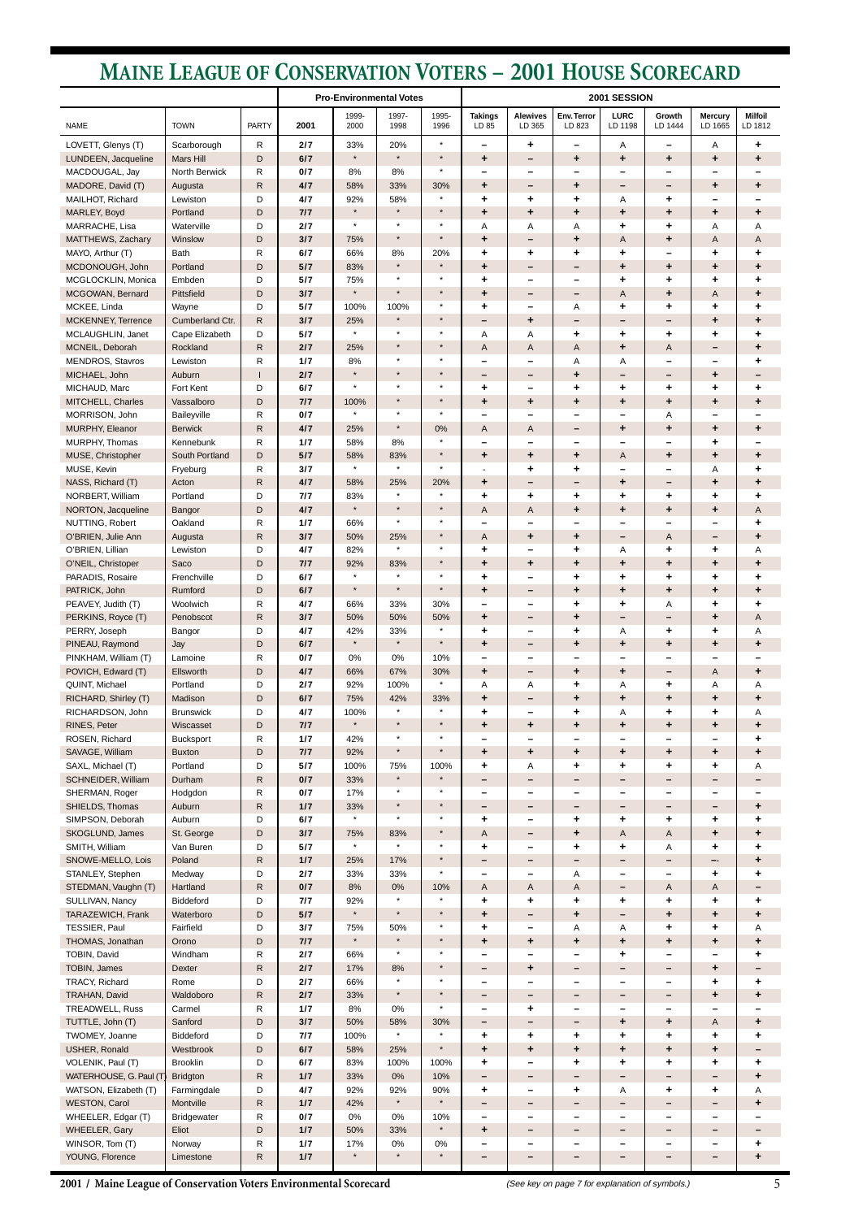**2001 / Maine League of Conservation Voters Environmental Scorecard**

## **MAINE LEAGUE OF CONSERVATION VOTERS – 2001 HOUSE SCORECARD**

|                                                  |                             |                   | <b>Pro-Environmental Votes</b> |                    |                    | 2001 SESSION       |                           |                               |                               |                           |                               |                                             |                           |
|--------------------------------------------------|-----------------------------|-------------------|--------------------------------|--------------------|--------------------|--------------------|---------------------------|-------------------------------|-------------------------------|---------------------------|-------------------------------|---------------------------------------------|---------------------------|
| <b>NAME</b>                                      | <b>TOWN</b>                 | <b>PARTY</b>      | 2001                           | 1999-<br>2000      | 1997-<br>1998      | 1995-<br>1996      | <b>Takings</b><br>LD 85   | <b>Alewives</b><br>LD 365     | Env. Terror<br>LD 823         | <b>LURC</b><br>LD 1198    | Growth<br>LD 1444             | <b>Mercury</b><br>LD 1665                   | <b>Milfoil</b><br>LD 1812 |
| LOVETT, Glenys (T)                               | Scarborough                 | R                 | 2/7                            | 33%                | 20%                | $\star$            |                           | ٠                             | $\overline{\phantom{m}}$      | Α                         |                               | Α                                           | ٠                         |
| LUNDEEN, Jacqueline                              | <b>Mars Hill</b>            | D                 | 6/7                            | $\star$            | $\star$            | $\star$            | ٠                         | -                             | ٠                             | ٠                         | ٠                             | ٠                                           | ٠                         |
| MACDOUGAL, Jay                                   | <b>North Berwick</b>        | R                 | 0/7                            | 8%                 | 8%                 | $\star$            |                           | -                             | -                             |                           |                               |                                             |                           |
| MADORE, David (T)<br>MAILHOT, Richard            | Augusta<br>Lewiston         | $\mathsf{R}$<br>D | 4/7<br>4/7                     | 58%<br>92%         | 33%<br>58%         | 30%<br>$\star$     | ٠<br>٠                    | -<br>٠                        | ٠<br>٠                        | -<br>Α                    | $\qquad \qquad -$<br>٠        | ٠<br>$\overline{\phantom{0}}$               | ٠                         |
| MARLEY, Boyd                                     | Portland                    | D                 | 7/7                            | $\star$            | $\star$            | $\star$            | ٠                         | ٠                             | ٠                             | ٠                         | ٠                             | ٠                                           | ٠                         |
| MARRACHE, Lisa                                   | Waterville                  | D                 | 2/7                            | $\star$            | $\star$            | $\star$            | Α                         | Α                             | Α                             | ٠                         | ٠                             | Α                                           | Α                         |
| MATTHEWS, Zachary                                | Winslow                     | D                 | 3/7                            | 75%                | $\star$            | $\star$            | $\ddot{\phantom{1}}$      | -                             | $\ddot{\phantom{1}}$          | Α                         | $\ddot{\phantom{1}}$          | A                                           | Α                         |
| MAYO, Arthur (T)                                 | <b>Bath</b>                 | R                 | 6/7                            | 66%                | 8%                 | 20%                | ٠                         | ٠                             | ٠                             | ٠                         | —                             | ٠                                           | ٠                         |
| MCDONOUGH, John                                  | Portland                    | D                 | 5/7                            | 83%                | $\star$<br>$\star$ | $\star$<br>$\star$ | $\ddot{\phantom{1}}$      | -                             | -                             | $\ddot{\phantom{1}}$      | ٠                             | ٠                                           | ٠                         |
| MCGLOCKLIN, Monica<br>MCGOWAN, Bernard           | Embden<br>Pittsfield        | D<br>D            | 5/7<br>3/7                     | 75%<br>$\star$     | $\star$            | $\star$            | ٠<br>$\ddot{\phantom{1}}$ | -<br>-                        | $\overline{\phantom{m}}$<br>- | ٠<br>A                    | ٠<br>$\ddot{\phantom{1}}$     | ٠<br>A                                      | ٠<br>٠                    |
| MCKEE, Linda                                     | Wayne                       | D                 | 5/7                            | 100%               | 100%               | $\star$            | ٠                         | $\overline{\phantom{0}}$      | Α                             | ٠                         | ٠                             | ٠                                           | ٠                         |
| MCKENNEY, Terrence                               | Cumberland Ctr.             | $\mathsf R$       | 3/7                            | 25%                | $\star$            | $\star$            | -                         | ٠                             | -                             | -                         | -                             | ٠                                           | ٠                         |
| MCLAUGHLIN, Janet                                | Cape Elizabeth              | D                 | 5/7                            | $\star$            | $\star$            | $\star$            | Α                         | Α                             | ٠                             | ٠                         | ٠                             | ٠                                           | ٠                         |
| MCNEIL, Deborah                                  | Rockland                    | $\mathsf R$       | 2/7                            | 25%                | $\star$            | $\star$            | A                         | A                             | A                             | $\ddot{\phantom{1}}$      | A                             | $\qquad \qquad -$                           | ٠                         |
| MENDROS, Stavros                                 | Lewiston                    | R                 | 1/7                            | 8%<br>$\star$      | $\star$<br>$\star$ | $\star$<br>$\star$ | -                         | -                             | Α                             | Α                         | $\qquad \qquad$               | $\overline{\phantom{m}}$                    | ٠                         |
| MICHAEL, John<br>MICHAUD, Marc                   | Auburn<br>Fort Kent         | D                 | 2/7<br>6/7                     | $\star$            | $\star$            | $\star$            | $\qquad \qquad$<br>٠      | -<br>-                        | $\ddot{\phantom{1}}$<br>٠     | -<br>٠                    | -<br>٠                        | ٠<br>٠                                      | -<br>٠                    |
| MITCHELL, Charles                                | Vassalboro                  | D                 | 7/7                            | 100%               | $\star$            | $\star$            | $\ddot{\phantom{1}}$      | $\ddot{\phantom{1}}$          | $\ddot{\phantom{1}}$          | $\ddot{\phantom{1}}$      | ٠                             | ٠                                           | ٠                         |
| MORRISON, John                                   | Baileyville                 | R                 | 0/7                            | $\star$            | $\star$            | $\star$            |                           | $\overline{\phantom{0}}$      | $\qquad \qquad$               | $\overline{\phantom{m}}$  | Α                             | $\overline{\phantom{m}}$                    |                           |
| MURPHY, Eleanor                                  | <b>Berwick</b>              | $\mathsf{R}$      | 4/7                            | 25%                | $\star$            | 0%                 | A                         | A                             | -                             | ٠                         | ٠                             | ٠                                           | ٠                         |
| MURPHY, Thomas                                   | Kennebunk                   | R                 | 1/7                            | 58%                | 8%                 | $\star$            |                           | $\overline{\phantom{0}}$      |                               |                           |                               | ٠                                           |                           |
| MUSE, Christopher                                | South Portland              | D                 | 5/7                            | 58%                | 83%                | $\star$            | $\ddot{\phantom{1}}$      | $\ddot{\phantom{1}}$          | $\ddot{\phantom{1}}$          | Α                         | ٠                             | ٠                                           | $\ddot{\phantom{1}}$      |
| MUSE, Kevin                                      | Fryeburg                    | R                 | 3/7                            | $\star$            | $\star$            | $\star$            |                           | ٠                             | ٠                             |                           | -                             | Α                                           | ٠                         |
| NASS, Richard (T)<br>NORBERT, William            | Acton<br>Portland           | $\mathsf{R}$<br>D | 4/7<br>7/7                     | 58%<br>83%         | 25%<br>$\star$     | 20%<br>$\star$     | $\ddot{\phantom{1}}$<br>٠ | -<br>٠                        | -<br>٠                        | $\ddot{\phantom{1}}$<br>٠ | $\overline{\phantom{m}}$<br>٠ | ٠<br>٠                                      | ٠<br>٠                    |
| NORTON, Jacqueline                               | Bangor                      | D                 | 4/7                            | $\star$            | $\star$            | $\star$            | Α                         | Α                             | ٠                             | ٠                         | ٠                             | ٠                                           | Α                         |
| NUTTING, Robert                                  | Oakland                     | R                 | 1/7                            | 66%                | $\star$            | $\star$            |                           | -                             | -                             | -                         |                               | $\overline{\phantom{0}}$                    | ٠                         |
| O'BRIEN, Julie Ann                               | Augusta                     | R                 | 3/7                            | 50%                | 25%                | $\star$            | A                         | ٠                             | ٠                             | -                         | A                             | $\qquad \qquad$                             | ٠                         |
| O'BRIEN, Lillian                                 | Lewiston                    | D                 | 4/7                            | 82%                | $\star$            | $\star$            |                           |                               |                               | Α                         |                               |                                             | Α                         |
| O'NEIL, Christoper                               | Saco                        | D                 | 7/7                            | 92%                | 83%                | $\star$            | $\ddot{\phantom{1}}$      | ٠                             | ٠                             | ٠                         | ٠                             | ٠                                           | ٠                         |
| PARADIS, Rosaire                                 | Frenchville                 | D                 | 6/7                            | $\star$<br>$\star$ | $\star$<br>$\star$ | $\star$<br>$\star$ | ÷                         | -                             | ٠                             | ٠                         | ÷                             | $\ddot{}$                                   | ٠                         |
| PATRICK, John<br>PEAVEY, Judith (T)              | Rumford<br>Woolwich         | D<br>R            | 6/7<br>4/7                     | 66%                | 33%                | 30%                | $\ddot{\phantom{1}}$<br>— | -<br>$\overline{\phantom{m}}$ | $\ddot{\phantom{1}}$<br>٠     | $\ddot{\phantom{1}}$<br>٠ | $\ddot{\phantom{1}}$<br>Α     | ٠<br>٠                                      | $\ddot{\phantom{1}}$<br>٠ |
| PERKINS, Royce (T)                               | Penobscot                   | R                 | 3/7                            | 50%                | 50%                | 50%                | $\ddot{\phantom{1}}$      | -                             | $\ddot{}$                     | -                         | $\qquad \qquad -$             | ٠                                           | Α                         |
| PERRY, Joseph                                    | Bangor                      | D                 | 4/7                            | 42%                | 33%                | $\star$            | ٠                         | -                             | ٠                             | Α                         | ٠                             | ÷                                           | Α                         |
| PINEAU, Raymond                                  | Jay                         | D                 | 6/7                            | $\star$            | $\star$            | $\star$            | ٠                         | -                             | $\ddot{\phantom{1}}$          | ٠                         | ٠                             | ٠                                           | ٠                         |
| PINKHAM, William (T)                             | Lamoine                     | R                 | 0/7                            | 0%                 | 0%                 | 10%                |                           | $\overline{\phantom{0}}$      |                               |                           |                               |                                             |                           |
| POVICH, Edward (T)                               | Ellsworth                   | D                 | 4/7                            | 66%                | 67%                | 30%<br>$\star$     | ٠                         | -                             | ٠                             | ٠                         | $\overline{\phantom{m}}$      | A                                           | ٠                         |
| QUINT, Michael<br>RICHARD, Shirley (T)           | Portland                    | D<br>D            | 2/7<br>6/7                     | 92%                | 100%<br>42%        | 33%                | Α<br>$\ddot{}$            | Α                             | ٠<br>$\ddot{}$                | Α                         | ٠<br>$\ddot{}$                | Α                                           | Α                         |
| RICHARDSON, John                                 | Madison<br><b>Brunswick</b> | D                 | 4/7                            | 75%<br>100%        | $\star$            | $\star$            | ٠                         | -<br>-                        | ٠                             | ٠<br>Α                    | ٠                             | ٠<br>٠                                      | ٠<br>Α                    |
| RINES, Peter                                     | Wiscasset                   | D                 | 7/7                            | $\star$            | $\star$            | $\star$            | $\ddot{\phantom{1}}$      | ٠                             | $\ddot{\phantom{1}}$          | $\ddot{\phantom{1}}$      | $\ddot{\phantom{1}}$          | ٠                                           | ٠                         |
| ROSEN, Richard                                   | Bucksport                   | R                 | 1/7                            | 42%                | $\star$            | $\star$            |                           | -                             | -                             | -                         | -                             | $\qquad \qquad$                             | ٠                         |
| SAVAGE, William                                  | <b>Buxton</b>               | D                 | 7/7                            | 92%                | $\star$            | $\star$            | $\ddot{\phantom{1}}$      | $\ddot{\phantom{1}}$          | $\ddot{\phantom{1}}$          | $\ddot{\phantom{1}}$      | ٠                             | ٠                                           | ٠                         |
| SAXL, Michael (T)                                | Portland                    | D                 | 5/7                            | 100%               | 75%<br>$\star$     | 100%<br>$\star$    | ٠                         | Α                             | ٠                             | ٠                         | ٠                             | ٠                                           | Α                         |
| SCHNEIDER, William<br>SHERMAN, Roger             | Durham                      | $\mathsf{R}$      | 0/7<br>0/7                     | 33%<br>17%         | $\star$            | $\star$            | -                         | -<br>$\overline{\phantom{0}}$ | -<br>—                        |                           | -                             | $\qquad \qquad$<br>$\overline{\phantom{m}}$ |                           |
| SHIELDS, Thomas                                  | Hodgdon<br>Auburn           | R<br>R            | 1/7                            | 33%                | $\star$            | $\star$            |                           | -                             | -                             | -                         | -                             | $\overline{\phantom{m}}$                    | ٠                         |
| SIMPSON, Deborah                                 | Auburn                      | D                 | 6/7                            | $\star$            | $\star$            | $\star$            | ٠                         | -                             | ٠                             | ٠                         | ٠                             | ٠                                           | ٠                         |
| SKOGLUND, James                                  | St. George                  | D                 | 3/7                            | 75%                | 83%                | $\star$            | A                         | -                             | $\ddot{\phantom{1}}$          | A                         | A                             | ٠                                           | ٠                         |
| SMITH, William                                   | Van Buren                   | D                 | 5/7                            | $\star$            | $\star$            | $\star$            | ٠                         | -                             | ٠                             | ٠                         | Α                             | ÷                                           | ٠                         |
| SNOWE-MELLO, Lois                                | Poland                      | $\mathsf{R}$      | 1/7                            | 25%                | 17%                | $\star$            | -                         | -                             | -                             | $\qquad \qquad$           | -                             | —-                                          | $\ddot{\phantom{1}}$      |
| STANLEY, Stephen                                 | Medway                      | D                 | 2/7                            | 33%                | 33%                | $\star$            | -                         | $\overline{\phantom{0}}$      | Α                             | $\qquad \qquad$           | $\overline{\phantom{0}}$      | ٠                                           | ٠                         |
| STEDMAN, Vaughn (T)<br>SULLIVAN, Nancy           | Hartland<br>Biddeford       | $\mathsf R$<br>D  | 0/7<br>7/7                     | 8%<br>92%          | 0%<br>$\star$      | 10%<br>$\star$     | A<br>٠                    | A<br>٠                        | A<br>٠                        | -<br>٠                    | A<br>٠                        | A<br>÷                                      | -<br>٠                    |
| TARAZEWICH, Frank                                | Waterboro                   | D                 | 5/7                            | $\star$            | $\star$            | $\star$            | $\ddot{\phantom{1}}$      | -                             | ٠                             | -                         | ٠                             | ٠                                           | ٠                         |
| TESSIER, Paul                                    | Fairfield                   | D                 | 3/7                            | 75%                | 50%                | $\star$            | ٠                         | -                             | Α                             | Α                         | ٠                             | ٠                                           | Α                         |
| THOMAS, Jonathan                                 | Orono                       | D                 | 7/7                            | $\star$            | $\star$            | $\star$            | $\ddot{\phantom{1}}$      | $\ddot{\phantom{1}}$          | $\ddot{\phantom{1}}$          | $\ddot{\phantom{1}}$      | $\ddot{\phantom{1}}$          | ٠                                           | $\ddot{\phantom{1}}$      |
| TOBIN, David                                     | Windham                     | R                 | 2/7                            | 66%                | $\star$            | $\star$            |                           |                               | $\qquad \qquad$               | ٠                         |                               |                                             | ٠                         |
| TOBIN, James                                     | Dexter                      | $\mathsf{R}$      | 2/7                            | 17%                | 8%<br>$\star$      | $\star$<br>$\star$ | -                         | $\ddot{\phantom{1}}$          | -                             | -                         | -                             | ٠                                           | -                         |
| TRACY, Richard<br>TRAHAN, David                  | Rome<br>Waldoboro           | D<br>R            | 2/7<br>2/7                     | 66%<br>33%         | $\star$            | $\star$            | -<br>$\qquad \qquad$      | -<br>-                        | -<br>$\qquad \qquad$          | -<br>-                    | -<br>$\qquad \qquad -$        | ÷<br>٠                                      | ٠<br>$\ddot{\phantom{1}}$ |
| TREADWELL, Russ                                  | Carmel                      | R                 | 1/7                            | $8\%$              | $0\%$              | $\star$            |                           |                               |                               |                           |                               |                                             |                           |
| TUTTLE, John (T)                                 | Sanford                     | D                 | 3/7                            | 50%                | 58%                | 30%                | -                         | -                             | -                             | +                         | $\ddot{\phantom{1}}$          | A                                           | ۰.                        |
| TWOMEY, Joanne                                   | Biddeford                   | D                 | 7/7                            | 100%               |                    | $\star$            | ٠                         | ٠                             | ٠                             | ٠                         | ٠                             | ٠                                           | ٠                         |
| USHER, Ronald                                    | Westbrook                   | D                 | 6/7                            | 58%                | 25%                | $\star$            | $\ddot{\phantom{1}}$      | ٠                             | $\ddot{\phantom{1}}$          | $\ddot{\phantom{1}}$      | ٠                             | +                                           |                           |
| VOLENIK, Paul (T)                                | <b>Brooklin</b>             | D                 | 6/7                            | 83%                | 100%               | 100%               | ٠                         | -                             | ٠                             | ٠                         | ٠,                            | ٠                                           | ٠                         |
| WATERHOUSE, G. Paul (T)<br>WATSON, Elizabeth (T) | <b>Bridgton</b>             | ${\sf R}$         | 1/7                            | 33%                | 0%<br>92%          | 10%                | -                         | -                             | -                             | -                         | -                             | $\overline{\phantom{m}}$                    | ٠                         |
| <b>WESTON, Carol</b>                             | Farmingdale<br>Montville    | D<br>${\sf R}$    | 4/7<br>1/7                     | 92%<br>42%         | $\star$            | 90%<br>$\star$     | ٠<br>-                    | -                             | ٠<br>-                        | Α<br>-                    | ٠                             | ٠<br>-                                      | Α<br>٠                    |
| WHEELER, Edgar (T)                               | Bridgewater                 | R                 | 0/7                            | 0%                 | $0\%$              | 10%                | -                         |                               | -                             | -                         | -                             | -                                           |                           |
| WHEELER, Gary                                    | Eliot                       | D                 | $1/7$                          | 50%                | 33%                | $\star$            | ٠                         |                               | -                             |                           |                               |                                             |                           |
| WINSOR, Tom (T)                                  | Norway                      | ${\sf R}$         | 1/7                            | 17%                | 0%                 | $0\%$              | -                         |                               | -                             |                           |                               | $\overline{\phantom{m}}$                    | ٠                         |
| YOUNG, Florence                                  | Limestone                   | $\mathsf{R}$      | 1/7                            | $\star$            | $\star$            | $\star$            |                           |                               |                               |                           |                               |                                             | ٠                         |

(See key on page 7 for explanation of symbols.) 5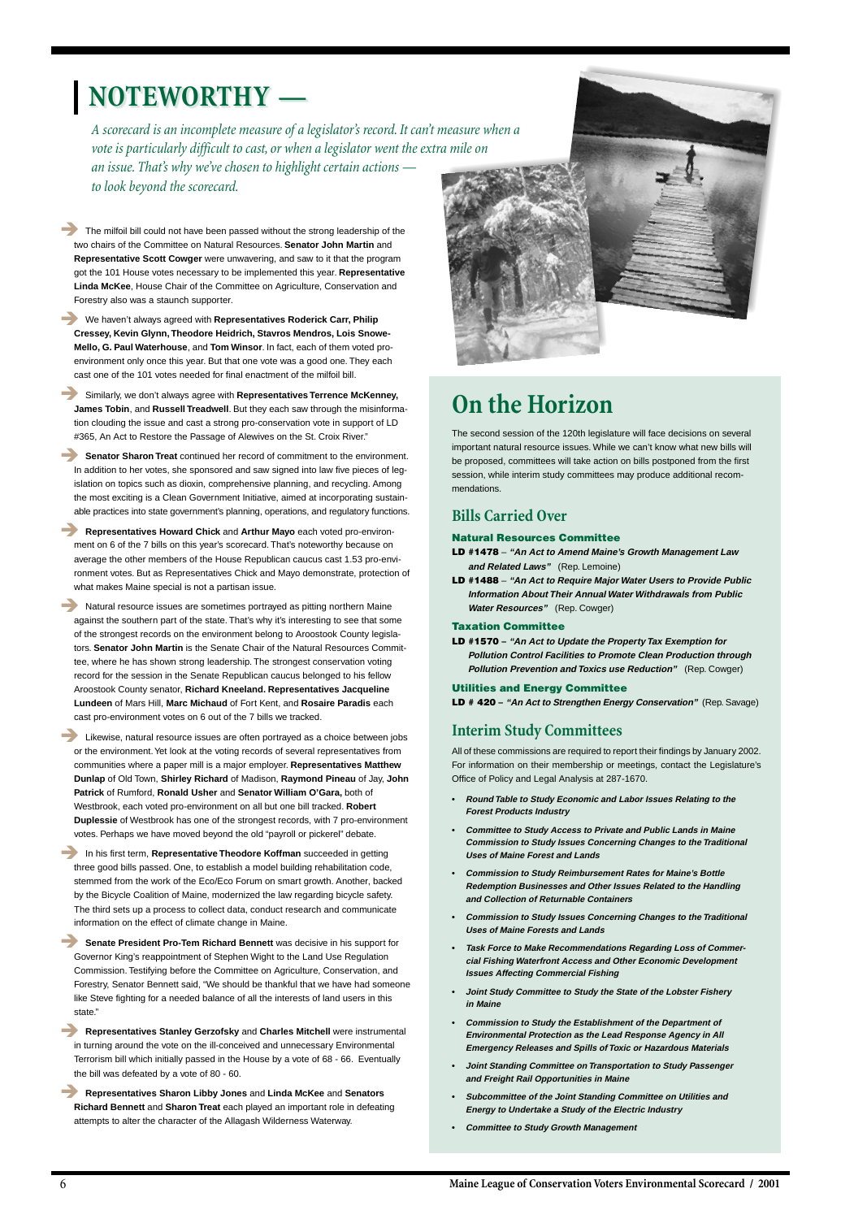*A scorecard is an incomplete measure of a legislator's record. It can't measure when a vote is particularly difficult to cast, or when a legislator went the extra mile on an issue. That's why we've chosen to highlight certain actions to look beyond the scorecard.*

The milfoil bill could not have been passed without the strong leadership of the two chairs of the Committee on Natural Resources. **Senator John Martin** and **Representative Scott Cowger** were unwavering, and saw to it that the program got the 101 House votes necessary to be implemented this year. **Representative Linda McKee**, House Chair of the Committee on Agriculture, Conservation and Forestry also was a staunch supporter.

**Senator Sharon Treat** continued her record of commitment to the environment. In addition to her votes, she sponsored and saw signed into law five pieces of legislation on topics such as dioxin, comprehensive planning, and recycling. Among the most exciting is a Clean Government Initiative, aimed at incorporating sustainable practices into state government's planning, operations, and regulatory functions.

! We haven't always agreed with **Representatives Roderick Carr, Philip Cressey, Kevin Glynn, Theodore Heidrich, Stavros Mendros, Lois Snowe-Mello, G. Paul Waterhouse**, and **Tom Winsor**. In fact, each of them voted proenvironment only once this year. But that one vote was a good one. They each cast one of the 101 votes needed for final enactment of the milfoil bill.

! Similarly, we don't always agree with **Representatives Terrence McKenney, James Tobin**, and **Russell Treadwell**. But they each saw through the misinformation clouding the issue and cast a strong pro-conservation vote in support of LD #365, An Act to Restore the Passage of Alewives on the St. Croix River."

**EXECUTE:** Natural resource issues are sometimes portrayed as pitting northern Maine against the southern part of the state. That's why it's interesting to see that some of the strongest records on the environment belong to Aroostook County legislators. **Senator John Martin** is the Senate Chair of the Natural Resources Committee, where he has shown strong leadership. The strongest conservation voting record for the session in the Senate Republican caucus belonged to his fellow Aroostook County senator, **Richard Kneeland. Representatives Jacqueline Lundeen** of Mars Hill, **Marc Michaud** of Fort Kent, and **Rosaire Paradis** each cast pro-environment votes on 6 out of the 7 bills we tracked.

**EXECUTE:** Likewise, natural resource issues are often portrayed as a choice between jobs or the environment. Yet look at the voting records of several representatives from communities where a paper mill is a major employer. **Representatives Matthew Dunlap** of Old Town, **Shirley Richard** of Madison, **Raymond Pineau** of Jay, **John Patrick** of Rumford, **Ronald Usher** and **Senator William O'Gara,** both of Westbrook, each voted pro-environment on all but one bill tracked. **Robert Duplessie** of Westbrook has one of the strongest records, with 7 pro-environment votes. Perhaps we have moved beyond the old "payroll or pickerel" debate.

! **Representatives Howard Chick** and **Arthur Mayo** each voted pro-environment on 6 of the 7 bills on this year's scorecard. That's noteworthy because on average the other members of the House Republican caucus cast 1.53 pro-environment votes. But as Representatives Chick and Mayo demonstrate, protection of what makes Maine special is not a partisan issue.

**Senate President Pro-Tem Richard Bennett** was decisive in his support for Governor King's reappointment of Stephen Wight to the Land Use Regulation Commission. Testifying before the Committee on Agriculture, Conservation, and Forestry, Senator Bennett said, "We should be thankful that we have had someone like Steve fighting for a needed balance of all the interests of land users in this state."

# **NOTEWORTHY — NOTEWORTHY —**

! In his first term, **Representative Theodore Koffman** succeeded in getting three good bills passed. One, to establish a model building rehabilitation code, stemmed from the work of the Eco/Eco Forum on smart growth. Another, backed by the Bicycle Coalition of Maine, modernized the law regarding bicycle safety. The third sets up a process to collect data, conduct research and communicate information on the effect of climate change in Maine.



! **Representatives Stanley Gerzofsky** and **Charles Mitchell** were instrumental in turning around the vote on the ill-conceived and unnecessary Environmental Terrorism bill which initially passed in the House by a vote of 68 - 66. Eventually the bill was defeated by a vote of 80 - 60.

! **Representatives Sharon Libby Jones** and **Linda McKee** and **Senators Richard Bennett** and **Sharon Treat** each played an important role in defeating attempts to alter the character of the Allagash Wilderness Waterway.

## **On the Horizon**

The second session of the 120th legislature will face decisions on several important natural resource issues. While we can't know what new bills will be proposed, committees will take action on bills postponed from the first session, while interim study committees may produce additional recommendations.

## **Bills Carried Over**

#### **Natural Resources Committee**

- **LD #1478 "An Act to Amend Maine's Growth Management Law and Related Laws"** (Rep. Lemoine)
- **LD #1488 "An Act to Require Major Water Users to Provide Public Information About Their Annual Water Withdrawals from Public Water Resources"** (Rep. Cowger)

#### **Taxation Committee**

**LD #1570 – "An Act to Update the Property Tax Exemption for Pollution Control Facilities to Promote Clean Production through Pollution Prevention and Toxics use Reduction"** (Rep. Cowger)

#### **Utilities and Energy Committee**

**LD # 420 – "An Act to Strengthen Energy Conservation"** (Rep. Savage)

## **Interim Study Committees**

All of these commissions are required to report their findings by January 2002. For information on their membership or meetings, contact the Legislature's Office of Policy and Legal Analysis at 287-1670.

- **• Round Table to Study Economic and Labor Issues Relating to the Forest Products Industry**
- **• Committee to Study Access to Private and Public Lands in Maine Commission to Study Issues Concerning Changes to the Traditional Uses of Maine Forest and Lands**
- **• Commission to Study Reimbursement Rates for Maine's Bottle Redemption Businesses and Other Issues Related to the Handling and Collection of Returnable Containers**
- **• Commission to Study Issues Concerning Changes to the Traditional**

**Uses of Maine Forests and Lands**

- **• Task Force to Make Recommendations Regarding Loss of Commercial Fishing Waterfront Access and Other Economic Development Issues Affecting Commercial Fishing**
- **• Joint Study Committee to Study the State of the Lobster Fishery in Maine**
- **• Commission to Study the Establishment of the Department of Environmental Protection as the Lead Response Agency in All Emergency Releases and Spills of Toxic or Hazardous Materials**
- **• Joint Standing Committee on Transportation to Study Passenger and Freight Rail Opportunities in Maine**
- **• Subcommittee of the Joint Standing Committee on Utilities and Energy to Undertake a Study of the Electric Industry**
- **• Committee to Study Growth Management**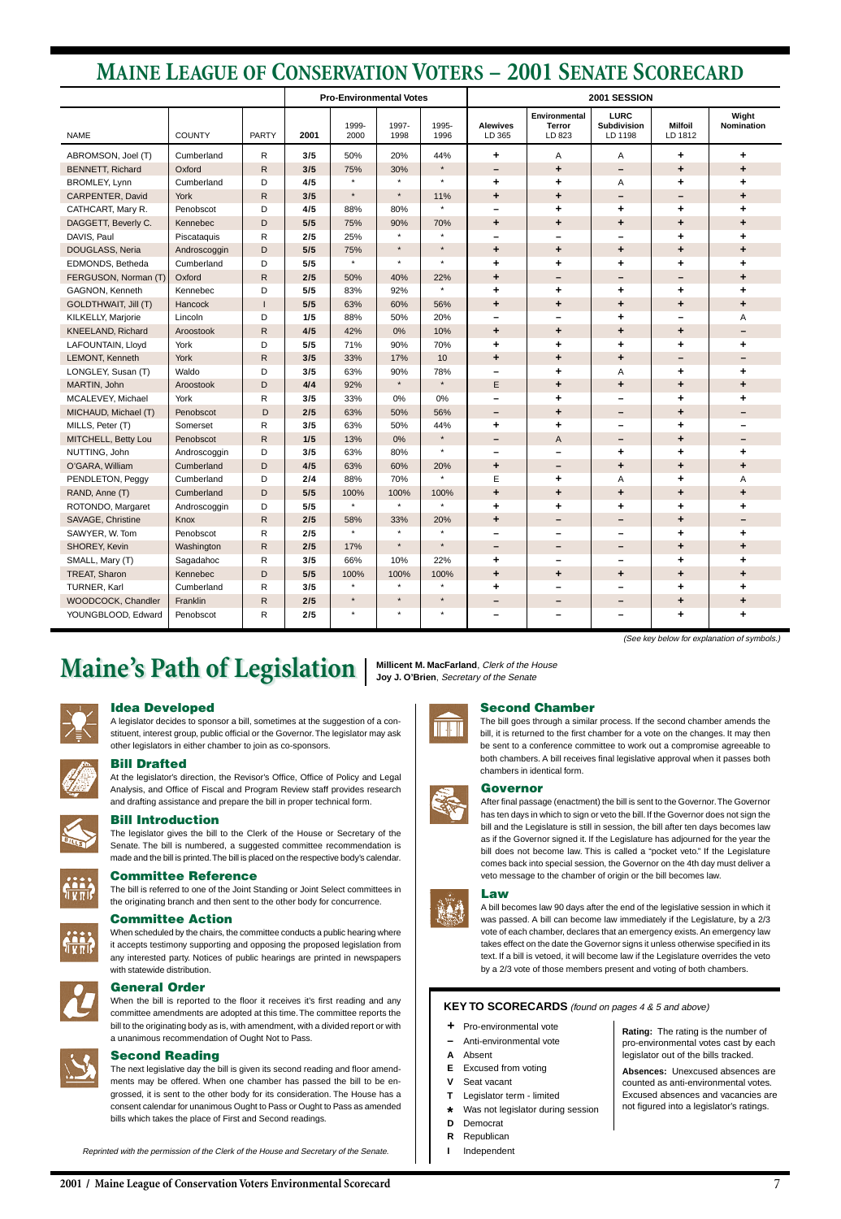**2001 / Maine League of Conservation Voters Environmental Scorecard**

|                          | <b>Pro-Environmental Votes</b> |              |      |               | 2001 SESSION  |               |                           |                                          |                                              |                           |                            |
|--------------------------|--------------------------------|--------------|------|---------------|---------------|---------------|---------------------------|------------------------------------------|----------------------------------------------|---------------------------|----------------------------|
| <b>NAME</b>              | <b>COUNTY</b>                  | <b>PARTY</b> | 2001 | 1999-<br>2000 | 1997-<br>1998 | 1995-<br>1996 | <b>Alewives</b><br>LD 365 | Environmental<br><b>Terror</b><br>LD 823 | <b>LURC</b><br><b>Subdivision</b><br>LD 1198 | <b>Milfoil</b><br>LD 1812 | Wight<br><b>Nomination</b> |
| ABROMSON, Joel (T)       | Cumberland                     | R            | 3/5  | 50%           | 20%           | 44%           | ٠                         | Α                                        | Α                                            | ٠                         | ٠                          |
| <b>BENNETT, Richard</b>  | Oxford                         | R            | 3/5  | 75%           | 30%           | $\star$       | $\qquad \qquad -$         | ÷                                        | -                                            | $\ddot{\phantom{1}}$      | ٠                          |
| BROMLEY, Lynn            | Cumberland                     | D            | 4/5  | $\star$       | $\star$       | $\star$       | ٠                         | ٠                                        | Α                                            | ٠                         | ٠                          |
| CARPENTER, David         | York                           | R            | 3/5  | $\star$       | $\star$       | 11%           | $\ddot{\phantom{1}}$      | ٠                                        | -                                            | $\overline{\phantom{m}}$  | ٠                          |
| CATHCART, Mary R.        | Penobscot                      | D            | 4/5  | 88%           | 80%           | $\star$       | $\qquad \qquad$           | ٠                                        | ٠                                            | ٠                         | ٠                          |
| DAGGETT, Beverly C.      | Kennebec                       | D            | 5/5  | 75%           | 90%           | 70%           | $\ddot{\phantom{1}}$      | ٠                                        | ٠                                            | ٠                         | ٠                          |
| DAVIS, Paul              | Piscataquis                    | R            | 2/5  | 25%           |               | $\star$       | -                         | $\overline{\phantom{m}}$                 | -                                            | ٠                         | ٠                          |
| DOUGLASS, Neria          | Androscoggin                   | D            | 5/5  | 75%           | $\star$       | $\star$       | $\ddot{\phantom{1}}$      | ٠                                        | ٠                                            | ٠                         | ٠                          |
| EDMONDS, Betheda         | Cumberland                     | D            | 5/5  | $\star$       | $\star$       | $\star$       | ٠                         | ÷                                        | ٠                                            | ٠                         | ٠                          |
| FERGUSON, Norman (T)     | Oxford                         | R            | 2/5  | 50%           | 40%           | 22%           | $\ddot{}$                 | -                                        | -                                            | $\qquad \qquad$           | ٠                          |
| GAGNON, Kenneth          | Kennebec                       | D            | 5/5  | 83%           | 92%           | $\star$       | ٠                         | ٠                                        | ٠                                            | ٠                         | ٠                          |
| GOLDTHWAIT, Jill (T)     | Hancock                        |              | 5/5  | 63%           | 60%           | 56%           | $\ddot{\phantom{1}}$      | ٠                                        | ٠                                            | ٠                         | ٠                          |
| KILKELLY, Marjorie       | Lincoln                        | D            | 1/5  | 88%           | 50%           | 20%           | -                         | $\overline{\phantom{0}}$                 | ٠                                            |                           | Α                          |
| <b>KNEELAND, Richard</b> | Aroostook                      | R            | 4/5  | 42%           | 0%            | 10%           | $\ddot{\phantom{1}}$      | ٠                                        | ٠                                            | ٠                         | $\overline{\phantom{m}}$   |
| LAFOUNTAIN, Lloyd        | York                           | D            | 5/5  | 71%           | 90%           | 70%           | ÷                         | ÷                                        | ٠                                            | ٠                         | ٠                          |
| LEMONT, Kenneth          | York                           | $\mathsf{R}$ | 3/5  | 33%           | 17%           | 10            | ٠                         | ٠                                        | ٠                                            | $\overline{\phantom{m}}$  | $\overline{\phantom{m}}$   |
| LONGLEY, Susan (T)       | Waldo                          | D            | 3/5  | 63%           | 90%           | 78%           | $\overline{\phantom{0}}$  | ÷                                        | Α                                            | ٠                         | ٠                          |
| MARTIN, John             | Aroostook                      | D            | 4/4  | 92%           | $\star$       | $\star$       | E                         | ٠                                        | ٠                                            | ٠                         | ٠                          |
| MCALEVEY, Michael        | York                           | R            | 3/5  | 33%           | 0%            | 0%            | $\qquad \qquad$           | ٠                                        |                                              | ٠                         | ٠                          |
| MICHAUD, Michael (T)     | Penobscot                      | D            | 2/5  | 63%           | 50%           | 56%           | -                         | $\ddot{}$                                | -                                            | ٠                         | $\overline{\phantom{m}}$   |
| MILLS, Peter (T)         | Somerset                       | R            | 3/5  | 63%           | 50%           | 44%           | ٠                         | ÷                                        | -                                            | ٠                         |                            |
| MITCHELL, Betty Lou      | Penobscot                      | R.           | 1/5  | 13%           | 0%            | $\star$       | -                         | A                                        | -                                            | ٠                         | $\qquad \qquad -$          |
| NUTTING, John            | Androscoggin                   | D            | 3/5  | 63%           | 80%           | $\star$       | $\overline{\phantom{m}}$  | $\overline{\phantom{0}}$                 | ٠                                            | ٠                         | ٠                          |
| O'GARA, William          | Cumberland                     | D            | 4/5  | 63%           | 60%           | 20%           | $\ddot{\phantom{1}}$      | $\qquad \qquad -$                        | ٠                                            | ٠                         | ٠                          |
| PENDLETON, Peggy         | Cumberland                     | D            | 2/4  | 88%           | 70%           | $\star$       | E                         | ٠                                        | Α                                            | ٠                         | Α                          |
| RAND, Anne (T)           | Cumberland                     | D            | 5/5  | 100%          | 100%          | 100%          | $\ddot{}$                 | ٠                                        | ٠                                            | ٠                         | ٠                          |
| ROTONDO, Margaret        | Androscoggin                   | D            | 5/5  | $\star$       | $\star$       | $\star$       | ٠                         | ٠                                        | ٠                                            | ٠                         | ٠                          |
| SAVAGE, Christine        | Knox                           | $\mathsf{R}$ | 2/5  | 58%           | 33%           | 20%           | $\ddot{\phantom{1}}$      | $\qquad \qquad -$                        | -                                            | ٠                         |                            |
| SAWYER, W. Tom           | Penobscot                      | R            | 2/5  |               | $\star$       | $\star$       | $\qquad \qquad$           | $\overline{\phantom{0}}$                 |                                              | ٠                         | ٠                          |
| SHOREY, Kevin            | Washington                     | R            | 2/5  | 17%           | $\star$       | $\star$       | -                         |                                          |                                              | ٠                         |                            |
| SMALL, Mary (T)          | Sagadahoc                      | R            | 3/5  | 66%           | 10%           | 22%           | ٠                         |                                          |                                              | ٠                         | ٠                          |
| TREAT, Sharon            | Kennebec                       | D            | 5/5  | 100%          | 100%          | 100%          | ٠                         | ٠                                        | ٠                                            | ٠                         | ٠                          |
| TURNER, Karl             | Cumberland                     | ${\sf R}$    | 3/5  |               | $\star$       | $\star$       | ٠                         | $\overline{\phantom{0}}$                 | -                                            | ٠                         | ٠                          |
| WOODCOCK, Chandler       | Franklin                       | ${\sf R}$    | 2/5  | $\star$       | $\star$       | $\star$       |                           | -                                        | -                                            | ÷                         | ۰.                         |
| YOUNGBLOOD, Edward       | Penobscot                      | R            | 2/5  | $\star$       | $\star$       | $\star$       |                           | —                                        | -                                            | ٠                         | ٠                          |

## **MAINE LEAGUE OF CONSERVATION VOTERS – 2001 SENATE SCORECARD**

(See key below for explanation of symbols.)

# Maine's Path of Legislation | Millicent M. MacFarland, Clerk of the House

## **Idea Developed**

A legislator decides to sponsor a bill, sometimes at the suggestion of a constituent, interest group, public official or the Governor. The legislator may ask other legislators in either chamber to join as co-sponsors.



### **Bill Drafted**

At the legislator's direction, the Revisor's Office, Office of Policy and Legal Analysis, and Office of Fiscal and Program Review staff provides research and drafting assistance and prepare the bill in proper technical form.



## **Bill Introduction**

The legislator gives the bill to the Clerk of the House or Secretary of the Senate. The bill is numbered, a suggested committee recommendation is made and the bill is printed. The bill is placed on the respective body's calendar.



## **Committee Reference**

The bill is referred to one of the Joint Standing or Joint Select committees in the originating branch and then sent to the other body for concurrence.

### **Committee Action**



When scheduled by the chairs, the committee conducts a public hearing where it accepts testimony supporting and opposing the proposed legislation from any interested party. Notices of public hearings are printed in newspapers with statewide distribution.

### **General Order**

When the bill is reported to the floor it receives it's first reading and any committee amendments are adopted at this time. The committee reports the bill to the originating body as is, with amendment, with a divided report or with a unanimous recommendation of Ought Not to Pass.



#### **Second Reading**

The next legislative day the bill is given its second reading and floor amendments may be offered. When one chamber has passed the bill to be engrossed, it is sent to the other body for its consideration. The House has a consent calendar for unanimous Ought to Pass or Ought to Pass as amended bills which takes the place of First and Second readings.

### **Second Chamber**

The bill goes through a similar process. If the second chamber amends the bill, it is returned to the first chamber for a vote on the changes. It may then be sent to a conference committee to work out a compromise agreeable to both chambers. A bill receives final legislative approval when it passes both chambers in identical form.

### **Governor**

After final passage (enactment) the bill is sent to the Governor. The Governor has ten days in which to sign or veto the bill. If the Governor does not sign the bill and the Legislature is still in session, the bill after ten days becomes law as if the Governor signed it. If the Legislature has adjourned for the year the bill does not become law. This is called a "pocket veto." If the Legislature comes back into special session, the Governor on the 4th day must deliver a veto message to the chamber of origin or the bill becomes law.

## **Law**

A bill becomes law 90 days after the end of the legislative session in which it was passed. A bill can become law immediately if the Legislature, by a 2/3 vote of each chamber, declares that an emergency exists. An emergency law takes effect on the date the Governor signs it unless otherwise specified in its text. If a bill is vetoed, it will become law if the Legislature overrides the veto by a 2/3 vote of those members present and voting of both chambers.





**Joy J. O'Brien**, Secretary of the Senate



Reprinted with the permission of the Clerk of the House and Secretary of the Senate.

- **+** Pro-environmental vote
- **–** Anti-environmental vote
- **A** Absent
- **E** Excused from voting
- **V** Seat vacant
- **T** Legislator term limited
- **\*** Was not legislator during session
- **D** Democrat
- **R** Republican
- **I** Independent

### **KEY TO SCORECARDS** (found on pages 4 & 5 and above)

**Rating:** The rating is the number of pro-environmental votes cast by each legislator out of the bills tracked.

**Absences:** Unexcused absences are counted as anti-environmental votes. Excused absences and vacancies are not figured into a legislator's ratings.